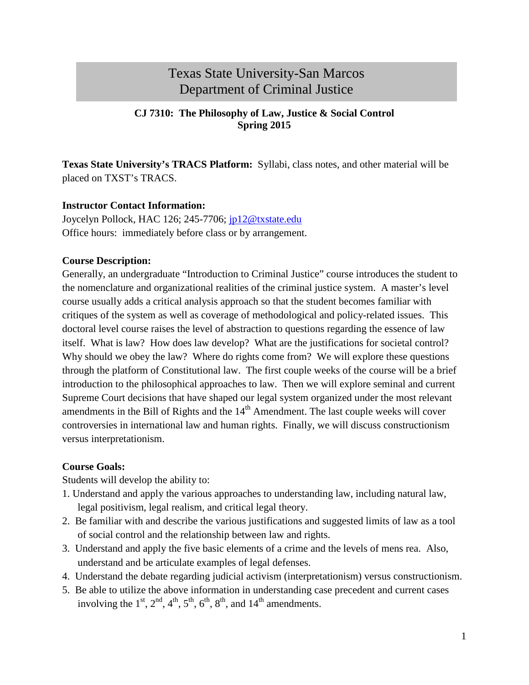# Texas State University-San Marcos Department of Criminal Justice

#### **CJ 7310: The Philosophy of Law, Justice & Social Control Spring 2015**

**Texas State University's TRACS Platform:** Syllabi, class notes, and other material will be placed on TXST's TRACS.

#### **Instructor Contact Information:**

Joycelyn Pollock, HAC 126; 245-7706; [jp12@txstate.edu](mailto:jp12@txstate.edu) Office hours: immediately before class or by arrangement.

#### **Course Description:**

Generally, an undergraduate "Introduction to Criminal Justice" course introduces the student to the nomenclature and organizational realities of the criminal justice system. A master's level course usually adds a critical analysis approach so that the student becomes familiar with critiques of the system as well as coverage of methodological and policy-related issues. This doctoral level course raises the level of abstraction to questions regarding the essence of law itself. What is law? How does law develop? What are the justifications for societal control? Why should we obey the law? Where do rights come from? We will explore these questions through the platform of Constitutional law. The first couple weeks of the course will be a brief introduction to the philosophical approaches to law. Then we will explore seminal and current Supreme Court decisions that have shaped our legal system organized under the most relevant amendments in the Bill of Rights and the  $14<sup>th</sup>$  Amendment. The last couple weeks will cover controversies in international law and human rights. Finally, we will discuss constructionism versus interpretationism.

#### **Course Goals:**

Students will develop the ability to:

- 1. Understand and apply the various approaches to understanding law, including natural law, legal positivism, legal realism, and critical legal theory.
- 2. Be familiar with and describe the various justifications and suggested limits of law as a tool of social control and the relationship between law and rights.
- 3. Understand and apply the five basic elements of a crime and the levels of mens rea. Also, understand and be articulate examples of legal defenses.
- 4. Understand the debate regarding judicial activism (interpretationism) versus constructionism.
- 5. Be able to utilize the above information in understanding case precedent and current cases involving the  $1<sup>st</sup>$ ,  $2<sup>nd</sup>$ ,  $4<sup>th</sup>$ ,  $5<sup>th</sup>$ ,  $6<sup>th</sup>$ ,  $8<sup>th</sup>$ , and  $14<sup>th</sup>$  amendments.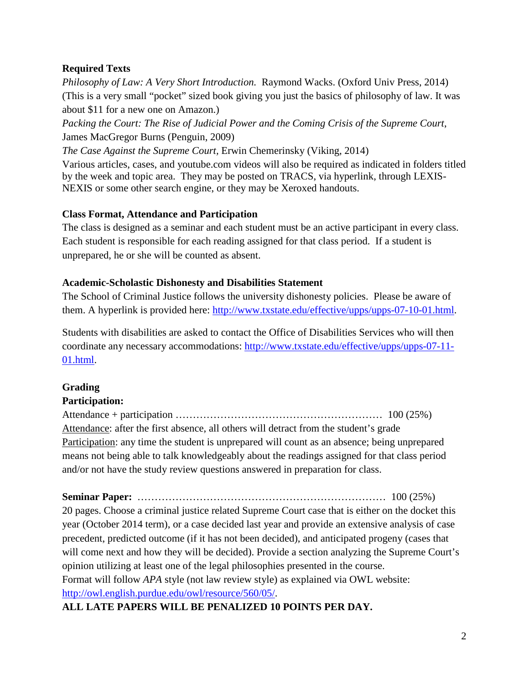# **Required Texts**

*Philosophy of Law: A Very Short Introduction.* Raymond Wacks. (Oxford Univ Press, 2014) (This is a very small "pocket" sized book giving you just the basics of philosophy of law. It was about \$11 for a new one on Amazon.)

*Packing the Court: The Rise of Judicial Power and the Coming Crisis of the Supreme Court*, James MacGregor Burns (Penguin, 2009)

*The Case Against the Supreme Court,* Erwin Chemerinsky (Viking, 2014)

Various articles, cases, and youtube.com videos will also be required as indicated in folders titled by the week and topic area. They may be posted on TRACS, via hyperlink, through LEXIS-NEXIS or some other search engine, or they may be Xeroxed handouts.

# **Class Format, Attendance and Participation**

The class is designed as a seminar and each student must be an active participant in every class. Each student is responsible for each reading assigned for that class period. If a student is unprepared, he or she will be counted as absent.

# **Academic-Scholastic Dishonesty and Disabilities Statement**

The School of Criminal Justice follows the university dishonesty policies. Please be aware of them. A hyperlink is provided here: [http://www.txstate.edu/effective/upps/upps-07-10-01.html.](http://www.txstate.edu/effective/upps/upps-07-10-01.html)

Students with disabilities are asked to contact the Office of Disabilities Services who will then coordinate any necessary accommodations: [http://www.txstate.edu/effective/upps/upps-07-11-](http://www.txstate.edu/effective/upps/upps-07-11-01.html) [01.html.](http://www.txstate.edu/effective/upps/upps-07-11-01.html)

# **Grading**

# **Participation:**

Attendance + participation …………………………………………………… 100 (25%) Attendance: after the first absence, all others will detract from the student's grade Participation: any time the student is unprepared will count as an absence; being unprepared means not being able to talk knowledgeably about the readings assigned for that class period and/or not have the study review questions answered in preparation for class.

**Seminar Paper:** ……………………………………………………………… 100 (25%) 20 pages. Choose a criminal justice related Supreme Court case that is either on the docket this year (October 2014 term), or a case decided last year and provide an extensive analysis of case precedent, predicted outcome (if it has not been decided), and anticipated progeny (cases that will come next and how they will be decided). Provide a section analyzing the Supreme Court's opinion utilizing at least one of the legal philosophies presented in the course. Format will follow *APA* style (not law review style) as explained via OWL website: [http://owl.english.purdue.edu/owl/resource/560/05/.](http://owl.english.purdue.edu/owl/resource/560/05/)

# **ALL LATE PAPERS WILL BE PENALIZED 10 POINTS PER DAY.**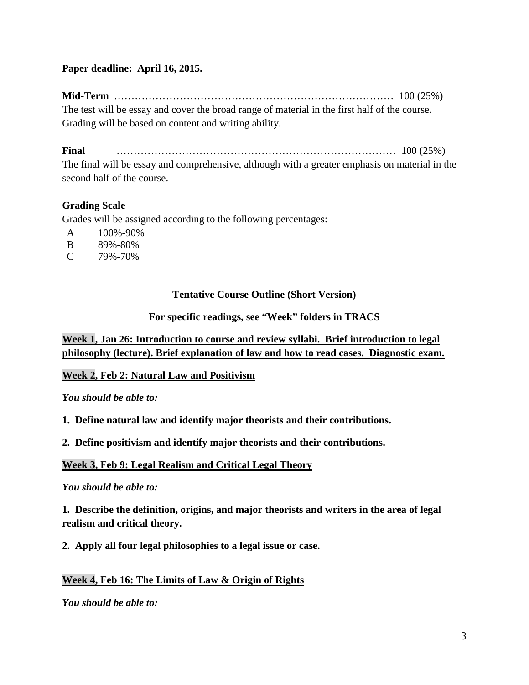#### **Paper deadline: April 16, 2015.**

**Mid-Term** ……………………………………………………………………… 100 (25%) The test will be essay and cover the broad range of material in the first half of the course. Grading will be based on content and writing ability.

**Final** ……………………………………………………………………… 100 (25%)

The final will be essay and comprehensive, although with a greater emphasis on material in the second half of the course.

# **Grading Scale**

Grades will be assigned according to the following percentages:

- A 100%-90%
- B 89%-80%
- C 79%-70%

#### **Tentative Course Outline (Short Version)**

#### **For specific readings, see "Week" folders in TRACS**

# **Week 1, Jan 26: Introduction to course and review syllabi. Brief introduction to legal philosophy (lecture). Brief explanation of law and how to read cases. Diagnostic exam.**

# **Week 2, Feb 2: Natural Law and Positivism**

#### *You should be able to:*

**1. Define natural law and identify major theorists and their contributions.**

**2. Define positivism and identify major theorists and their contributions.** 

#### **Week 3, Feb 9: Legal Realism and Critical Legal Theory**

#### *You should be able to:*

**1. Describe the definition, origins, and major theorists and writers in the area of legal realism and critical theory.**

**2. Apply all four legal philosophies to a legal issue or case.**

# **Week 4, Feb 16: The Limits of Law & Origin of Rights**

#### *You should be able to:*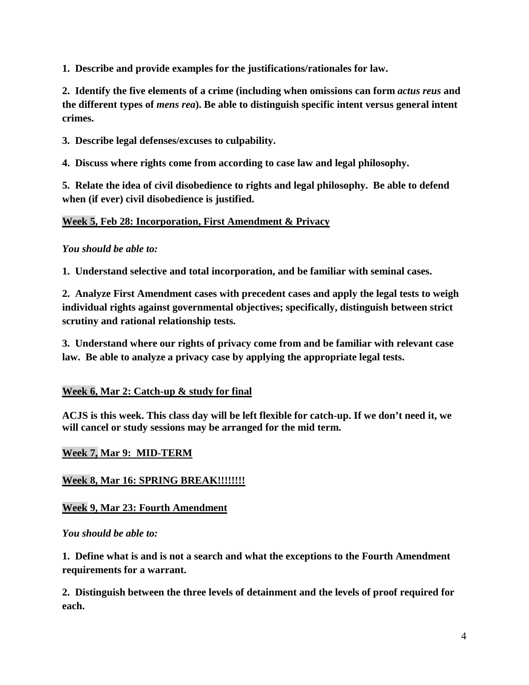**1. Describe and provide examples for the justifications/rationales for law.**

**2. Identify the five elements of a crime (including when omissions can form** *actus reus* **and the different types of** *mens rea***). Be able to distinguish specific intent versus general intent crimes.**

**3. Describe legal defenses/excuses to culpability.**

**4. Discuss where rights come from according to case law and legal philosophy.**

**5. Relate the idea of civil disobedience to rights and legal philosophy. Be able to defend when (if ever) civil disobedience is justified.** 

#### **Week 5, Feb 28: Incorporation, First Amendment & Privacy**

#### *You should be able to:*

**1. Understand selective and total incorporation, and be familiar with seminal cases.**

**2. Analyze First Amendment cases with precedent cases and apply the legal tests to weigh individual rights against governmental objectives; specifically, distinguish between strict scrutiny and rational relationship tests.**

**3. Understand where our rights of privacy come from and be familiar with relevant case law. Be able to analyze a privacy case by applying the appropriate legal tests.**

# **Week 6, Mar 2: Catch-up & study for final**

**ACJS is this week. This class day will be left flexible for catch-up. If we don't need it, we will cancel or study sessions may be arranged for the mid term.**

# **Week 7, Mar 9: MID-TERM**

# **Week 8, Mar 16: SPRING BREAK!!!!!!!!**

# **Week 9, Mar 23: Fourth Amendment**

*You should be able to:*

**1. Define what is and is not a search and what the exceptions to the Fourth Amendment requirements for a warrant.**

**2. Distinguish between the three levels of detainment and the levels of proof required for each.**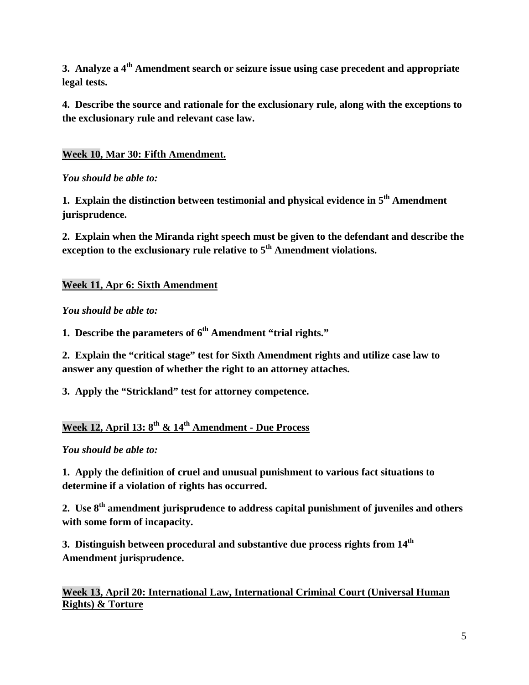**3. Analyze a 4th Amendment search or seizure issue using case precedent and appropriate legal tests.**

**4. Describe the source and rationale for the exclusionary rule, along with the exceptions to the exclusionary rule and relevant case law.**

# **Week 10, Mar 30: Fifth Amendment.**

# *You should be able to:*

**1. Explain the distinction between testimonial and physical evidence in 5th Amendment jurisprudence.**

**2. Explain when the Miranda right speech must be given to the defendant and describe the exception to the exclusionary rule relative to 5<sup>th</sup> Amendment violations.** 

# **Week 11, Apr 6: Sixth Amendment**

# *You should be able to:*

**1. Describe the parameters of**  $6^{th}$  **Amendment "trial rights."** 

**2. Explain the "critical stage" test for Sixth Amendment rights and utilize case law to answer any question of whether the right to an attorney attaches.**

**3. Apply the "Strickland" test for attorney competence.**

# **Week 12, April 13: 8th & 14th Amendment - Due Process**

# *You should be able to:*

**1. Apply the definition of cruel and unusual punishment to various fact situations to determine if a violation of rights has occurred.**

**2. Use 8th amendment jurisprudence to address capital punishment of juveniles and others with some form of incapacity.**

**3. Distinguish between procedural and substantive due process rights from 14<sup>th</sup> Amendment jurisprudence.**

**Week 13, April 20: International Law, International Criminal Court (Universal Human Rights) & Torture**